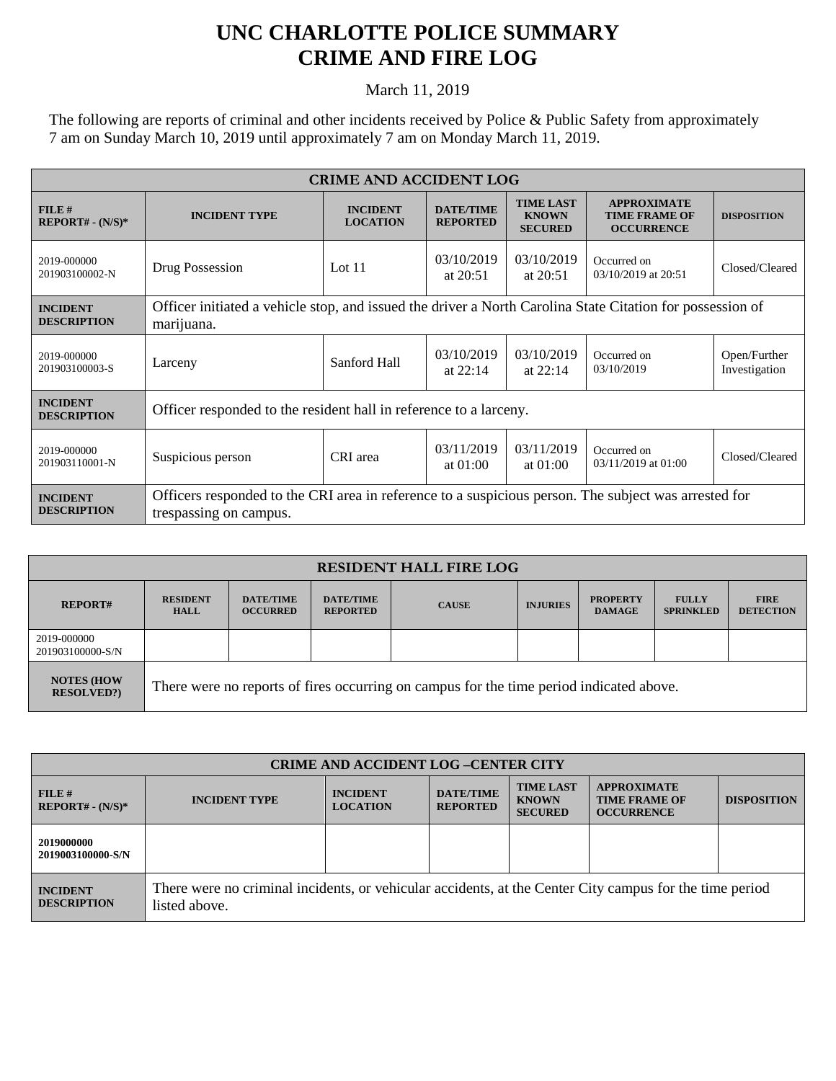## **UNC CHARLOTTE POLICE SUMMARY CRIME AND FIRE LOG**

March 11, 2019

The following are reports of criminal and other incidents received by Police & Public Safety from approximately 7 am on Sunday March 10, 2019 until approximately 7 am on Monday March 11, 2019.

| <b>CRIME AND ACCIDENT LOG</b>         |                                                                                                                                |                                    |                                     |                                                    |                                                                 |                               |  |
|---------------------------------------|--------------------------------------------------------------------------------------------------------------------------------|------------------------------------|-------------------------------------|----------------------------------------------------|-----------------------------------------------------------------|-------------------------------|--|
| FILE#<br>$REPORT# - (N/S)*$           | <b>INCIDENT TYPE</b>                                                                                                           | <b>INCIDENT</b><br><b>LOCATION</b> | <b>DATE/TIME</b><br><b>REPORTED</b> | <b>TIME LAST</b><br><b>KNOWN</b><br><b>SECURED</b> | <b>APPROXIMATE</b><br><b>TIME FRAME OF</b><br><b>OCCURRENCE</b> | <b>DISPOSITION</b>            |  |
| 2019-000000<br>201903100002-N         | Drug Possession                                                                                                                | Lot $11$                           | 03/10/2019<br>at $20:51$            | 03/10/2019<br>at $20:51$                           | Occurred on<br>03/10/2019 at 20:51                              | Closed/Cleared                |  |
| <b>INCIDENT</b><br><b>DESCRIPTION</b> | Officer initiated a vehicle stop, and issued the driver a North Carolina State Citation for possession of<br>marijuana.        |                                    |                                     |                                                    |                                                                 |                               |  |
| 2019-000000<br>201903100003-S         | Larceny                                                                                                                        | Sanford Hall                       | 03/10/2019<br>at $22:14$            | 03/10/2019<br>at $22:14$                           | Occurred on<br>03/10/2019                                       | Open/Further<br>Investigation |  |
| <b>INCIDENT</b><br><b>DESCRIPTION</b> | Officer responded to the resident hall in reference to a larceny.                                                              |                                    |                                     |                                                    |                                                                 |                               |  |
| 2019-000000<br>201903110001-N         | Suspicious person                                                                                                              | CRI area                           | 03/11/2019<br>at $01:00$            | 03/11/2019<br>at $01:00$                           | Occurred on<br>03/11/2019 at 01:00                              | Closed/Cleared                |  |
| <b>INCIDENT</b><br><b>DESCRIPTION</b> | Officers responded to the CRI area in reference to a suspicious person. The subject was arrested for<br>trespassing on campus. |                                    |                                     |                                                    |                                                                 |                               |  |

| <b>RESIDENT HALL FIRE LOG</b>          |                                                                                         |                                     |                                     |              |                 |                                  |                                  |                                 |
|----------------------------------------|-----------------------------------------------------------------------------------------|-------------------------------------|-------------------------------------|--------------|-----------------|----------------------------------|----------------------------------|---------------------------------|
| <b>REPORT#</b>                         | <b>RESIDENT</b><br><b>HALL</b>                                                          | <b>DATE/TIME</b><br><b>OCCURRED</b> | <b>DATE/TIME</b><br><b>REPORTED</b> | <b>CAUSE</b> | <b>INJURIES</b> | <b>PROPERTY</b><br><b>DAMAGE</b> | <b>FULLY</b><br><b>SPRINKLED</b> | <b>FIRE</b><br><b>DETECTION</b> |
| 2019-000000<br>201903100000-S/N        |                                                                                         |                                     |                                     |              |                 |                                  |                                  |                                 |
| <b>NOTES (HOW</b><br><b>RESOLVED?)</b> | There were no reports of fires occurring on campus for the time period indicated above. |                                     |                                     |              |                 |                                  |                                  |                                 |

| <b>CRIME AND ACCIDENT LOG-CENTER CITY</b> |                                                                                                                          |                                    |                                     |                                                    |                                                                 |                    |  |
|-------------------------------------------|--------------------------------------------------------------------------------------------------------------------------|------------------------------------|-------------------------------------|----------------------------------------------------|-----------------------------------------------------------------|--------------------|--|
| FILE H<br>$REPORT# - (N/S)*$              | <b>INCIDENT TYPE</b>                                                                                                     | <b>INCIDENT</b><br><b>LOCATION</b> | <b>DATE/TIME</b><br><b>REPORTED</b> | <b>TIME LAST</b><br><b>KNOWN</b><br><b>SECURED</b> | <b>APPROXIMATE</b><br><b>TIME FRAME OF</b><br><b>OCCURRENCE</b> | <b>DISPOSITION</b> |  |
| 2019000000<br>2019003100000-S/N           |                                                                                                                          |                                    |                                     |                                                    |                                                                 |                    |  |
| <b>INCIDENT</b><br><b>DESCRIPTION</b>     | There were no criminal incidents, or vehicular accidents, at the Center City campus for the time period<br>listed above. |                                    |                                     |                                                    |                                                                 |                    |  |